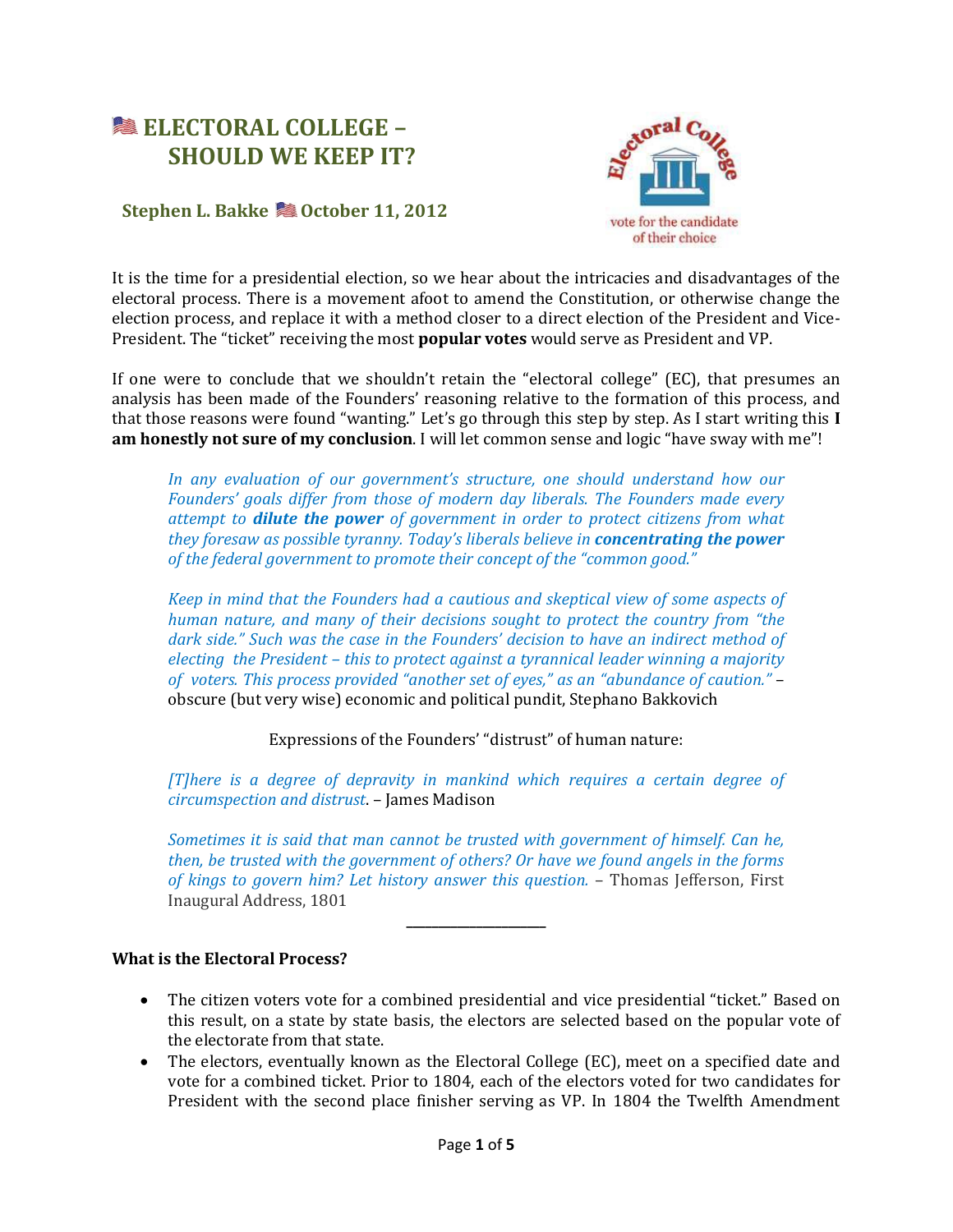# **ELECTORAL COLLEGE – SHOULD WE KEEP IT?**



# **Stephen L. Bakke © October 11, 2012**

It is the time for a presidential election, so we hear about the intricacies and disadvantages of the electoral process. There is a movement afoot to amend the Constitution, or otherwise change the election process, and replace it with a method closer to a direct election of the President and Vice-President. The "ticket" receiving the most **popular votes** would serve as President and VP.

If one were to conclude that we shouldn't retain the "electoral college" (EC), that presumes an analysis has been made of the Founders' reasoning relative to the formation of this process, and that those reasons were found "wanting." Let's go through this step by step. As I start writing this **I am honestly not sure of my conclusion**. I will let common sense and logic "have sway with me"!

*In any evaluation of our government's structure, one should understand how our Founders' goals differ from those of modern day liberals. The Founders made every attempt to dilute the power of government in order to protect citizens from what they foresaw as possible tyranny. Today's liberals believe in concentrating the power of the federal government to promote their concept of the "common good."*

*Keep in mind that the Founders had a cautious and skeptical view of some aspects of human nature, and many of their decisions sought to protect the country from "the dark side." Such was the case in the Founders' decision to have an indirect method of electing the President – this to protect against a tyrannical leader winning a majority of voters. This process provided "another set of eyes," as an "abundance of caution."* – obscure (but very wise) economic and political pundit, Stephano Bakkovich

Expressions of the Founders' "distrust" of human nature:

*[T]here is a degree of depravity in mankind which requires a certain degree of circumspection and distrust*. – James Madison

*Sometimes it is said that man cannot be trusted with government of himself. Can he, then, be trusted with the government of others? Or have we found angels in the forms of kings to govern him? Let history answer this question.* – Thomas Jefferson, First Inaugural Address, 1801

**\_\_\_\_\_\_\_\_\_\_\_\_\_\_\_\_\_\_\_\_\_\_**

## **What is the Electoral Process?**

- The citizen voters vote for a combined presidential and vice presidential "ticket." Based on this result, on a state by state basis, the electors are selected based on the popular vote of the electorate from that state.
- The electors, eventually known as the Electoral College (EC), meet on a specified date and vote for a combined ticket. Prior to 1804, each of the electors voted for two candidates for President with the second place finisher serving as VP. In 1804 the Twelfth Amendment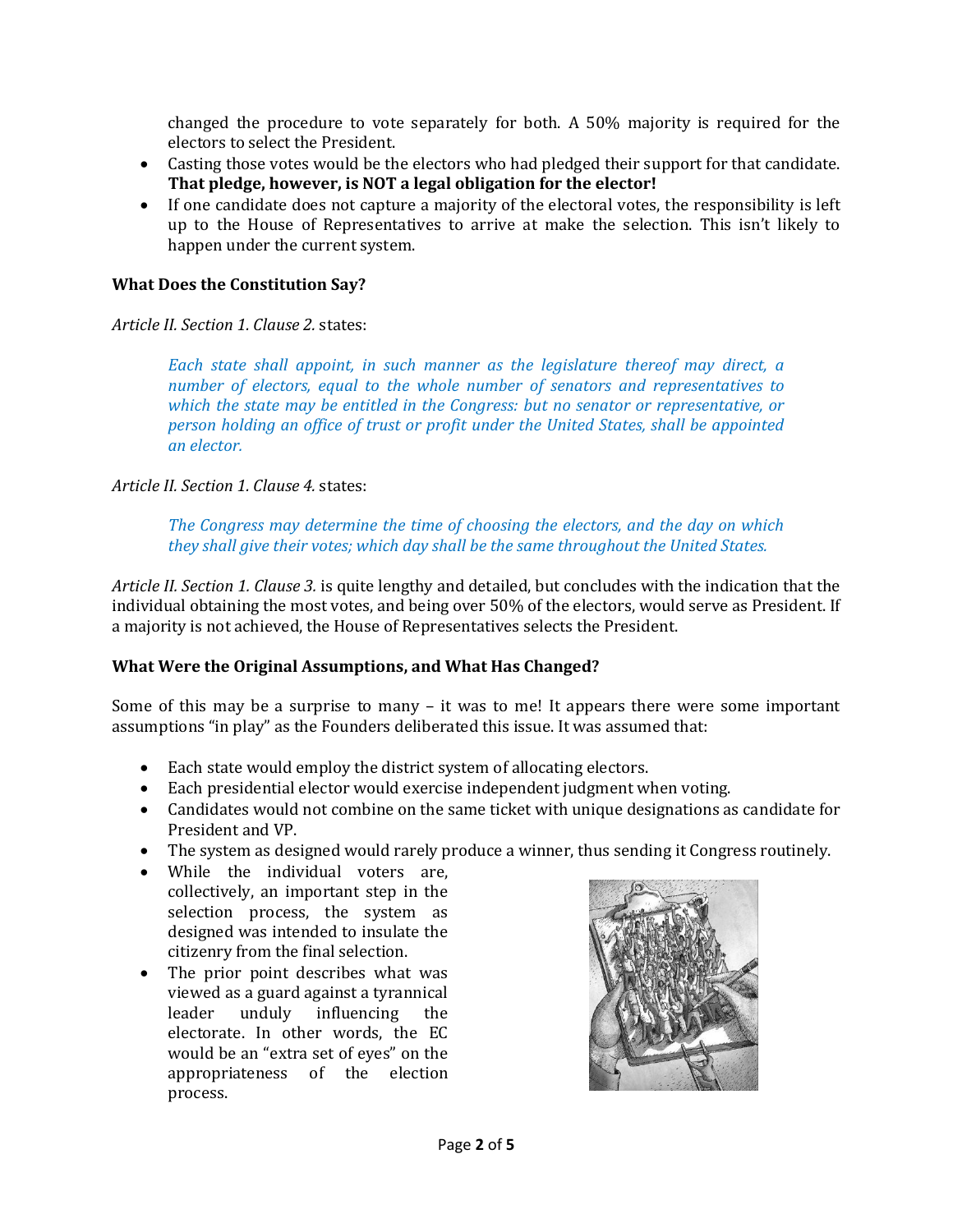changed the procedure to vote separately for both. A 50% majority is required for the electors to select the President.

- Casting those votes would be the electors who had pledged their support for that candidate. **That pledge, however, is NOT a legal obligation for the elector!**
- If one candidate does not capture a majority of the electoral votes, the responsibility is left up to the House of Representatives to arrive at make the selection. This isn't likely to happen under the current system.

#### **What Does the Constitution Say?**

*Article II. Section 1. Clause 2.* states:

*Each state shall appoint, in such manner as the legislature thereof may direct, a number of electors, equal to the whole number of senators and representatives to which the state may be entitled in the Congress: but no senator or representative, or person holding an office of trust or profit under the United States, shall be appointed an elector.*

*Article II. Section 1. Clause 4.* states:

*The Congress may determine the time of choosing the electors, and the day on which they shall give their votes; which day shall be the same throughout the United States.*

*Article II. Section 1. Clause 3.* is quite lengthy and detailed, but concludes with the indication that the individual obtaining the most votes, and being over 50% of the electors, would serve as President. If a majority is not achieved, the House of Representatives selects the President.

## **What Were the Original Assumptions, and What Has Changed?**

Some of this may be a surprise to many – it was to me! It appears there were some important assumptions "in play" as the Founders deliberated this issue. It was assumed that:

- Each state would employ the district system of allocating electors.
- Each presidential elector would exercise independent judgment when voting.
- Candidates would not combine on the same ticket with unique designations as candidate for President and VP.
- The system as designed would rarely produce a winner, thus sending it Congress routinely.
- While the individual voters are, collectively, an important step in the selection process, the system as designed was intended to insulate the citizenry from the final selection.
- The prior point describes what was viewed as a guard against a tyrannical leader unduly influencing the electorate. In other words, the EC would be an "extra set of eyes" on the appropriateness of the election process.

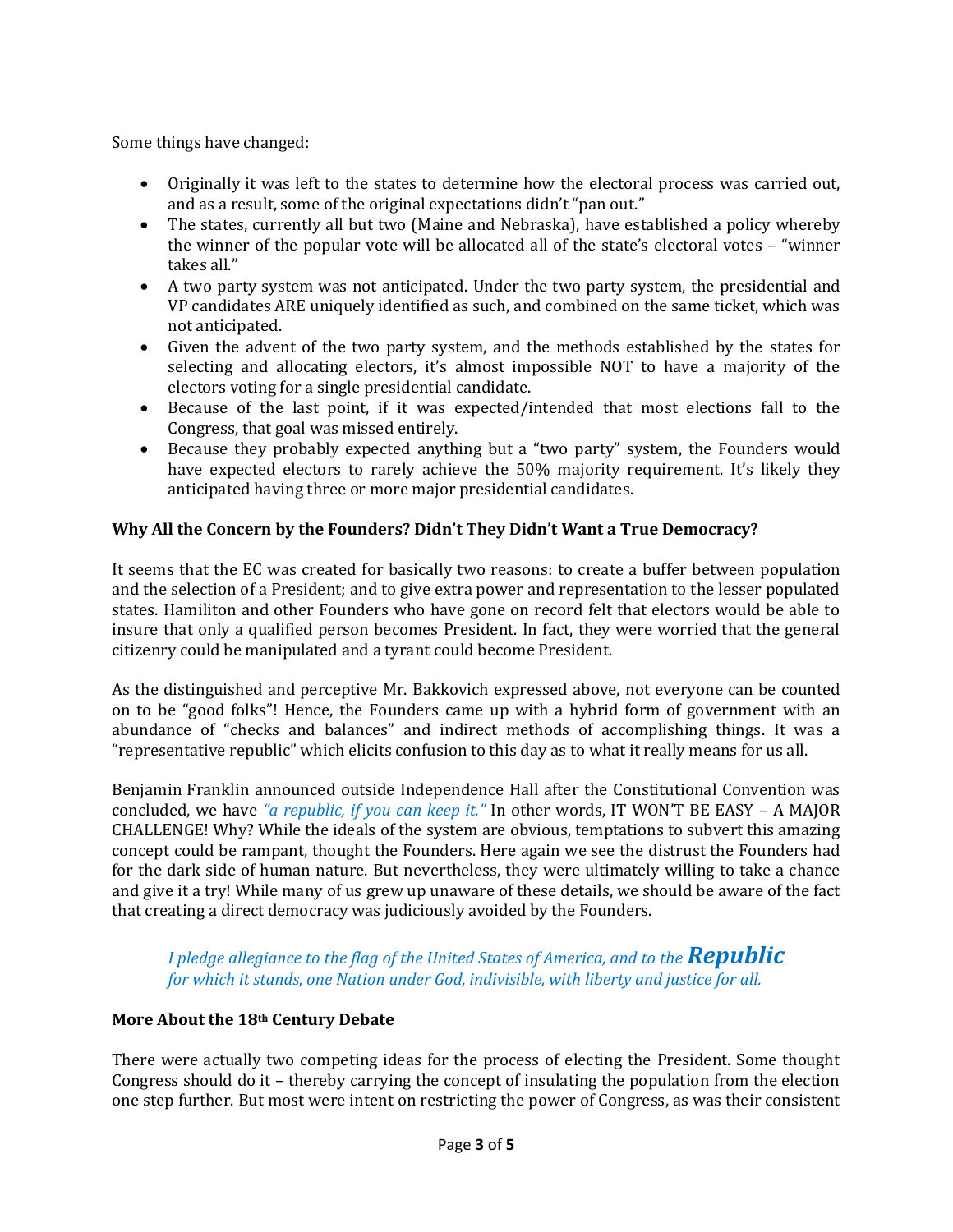Some things have changed:

- Originally it was left to the states to determine how the electoral process was carried out, and as a result, some of the original expectations didn't "pan out."
- The states, currently all but two (Maine and Nebraska), have established a policy whereby the winner of the popular vote will be allocated all of the state's electoral votes – "winner takes all."
- A two party system was not anticipated. Under the two party system, the presidential and VP candidates ARE uniquely identified as such, and combined on the same ticket, which was not anticipated.
- Given the advent of the two party system, and the methods established by the states for selecting and allocating electors, it's almost impossible NOT to have a majority of the electors voting for a single presidential candidate.
- Because of the last point, if it was expected/intended that most elections fall to the Congress, that goal was missed entirely.
- Because they probably expected anything but a "two party" system, the Founders would have expected electors to rarely achieve the 50% majority requirement. It's likely they anticipated having three or more major presidential candidates.

# **Why All the Concern by the Founders? Didn't They Didn't Want a True Democracy?**

It seems that the EC was created for basically two reasons: to create a buffer between population and the selection of a President; and to give extra power and representation to the lesser populated states. Hamiliton and other Founders who have gone on record felt that electors would be able to insure that only a qualified person becomes President. In fact, they were worried that the general citizenry could be manipulated and a tyrant could become President.

As the distinguished and perceptive Mr. Bakkovich expressed above, not everyone can be counted on to be "good folks"! Hence, the Founders came up with a hybrid form of government with an abundance of "checks and balances" and indirect methods of accomplishing things. It was a "representative republic" which elicits confusion to this day as to what it really means for us all.

Benjamin Franklin announced outside Independence Hall after the Constitutional Convention was concluded, we have *"a republic, if you can keep it."* In other words, IT WON'T BE EASY – A MAJOR CHALLENGE! Why? While the ideals of the system are obvious, temptations to subvert this amazing concept could be rampant, thought the Founders. Here again we see the distrust the Founders had for the dark side of human nature. But nevertheless, they were ultimately willing to take a chance and give it a try! While many of us grew up unaware of these details, we should be aware of the fact that creating a direct democracy was judiciously avoided by the Founders.

## *I pledge allegiance to the flag of the United States of America, and to the <i>Republic for which it stands, one Nation under God, indivisible, with liberty and justice for all.*

## **More About the 18th Century Debate**

There were actually two competing ideas for the process of electing the President. Some thought Congress should do it – thereby carrying the concept of insulating the population from the election one step further. But most were intent on restricting the power of Congress, as was their consistent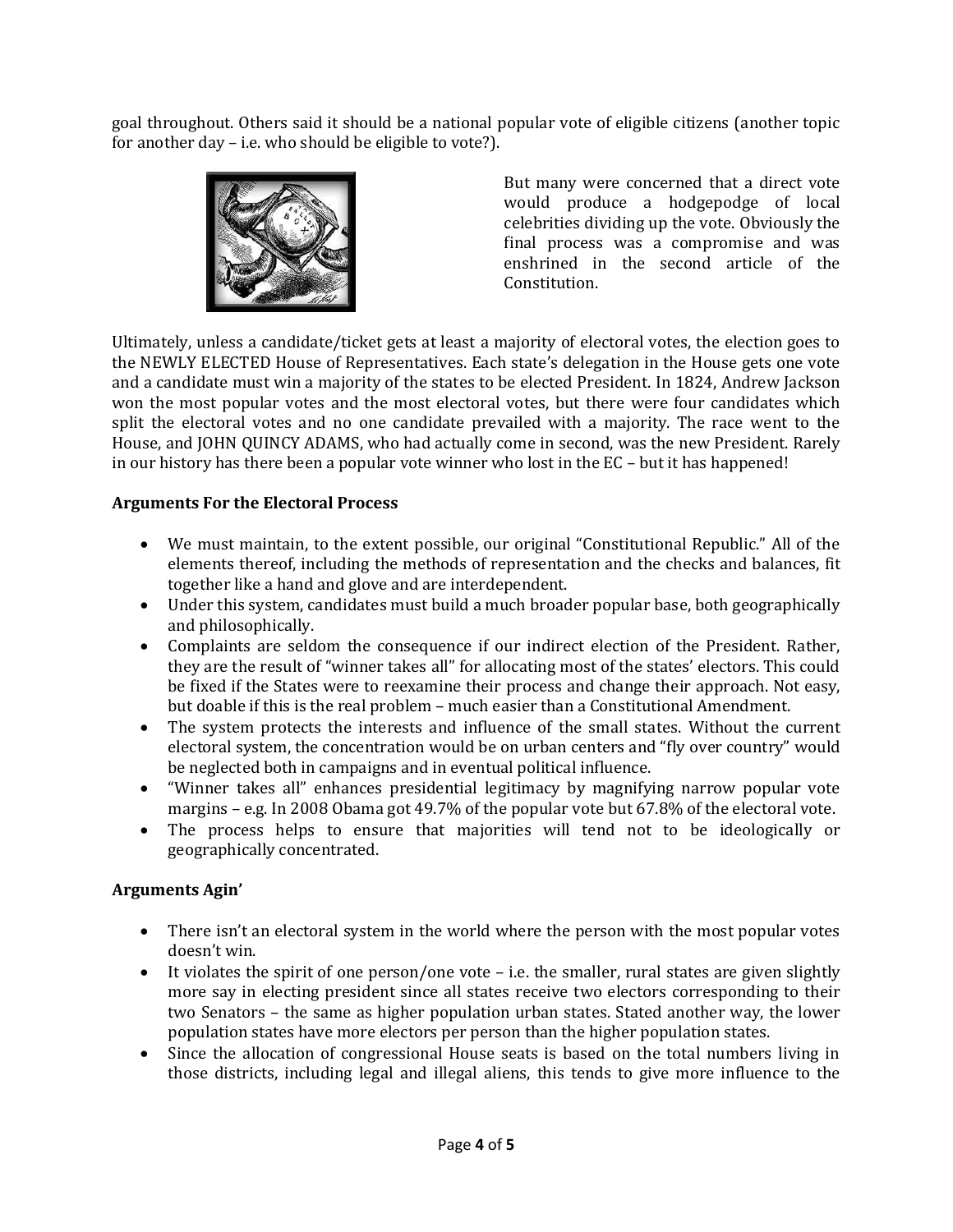goal throughout. Others said it should be a national popular vote of eligible citizens (another topic for another day – i.e. who should be eligible to vote?).



But many were concerned that a direct vote would produce a hodgepodge of local celebrities dividing up the vote. Obviously the final process was a compromise and was enshrined in the second article of the Constitution.

Ultimately, unless a candidate/ticket gets at least a majority of electoral votes, the election goes to the NEWLY ELECTED House of Representatives. Each state's delegation in the House gets one vote and a candidate must win a majority of the states to be elected President. In 1824, Andrew Jackson won the most popular votes and the most electoral votes, but there were four candidates which split the electoral votes and no one candidate prevailed with a majority. The race went to the House, and JOHN QUINCY ADAMS, who had actually come in second, was the new President. Rarely in our history has there been a popular vote winner who lost in the EC – but it has happened!

## **Arguments For the Electoral Process**

- We must maintain, to the extent possible, our original "Constitutional Republic." All of the elements thereof, including the methods of representation and the checks and balances, fit together like a hand and glove and are interdependent.
- Under this system, candidates must build a much broader popular base, both geographically and philosophically.
- Complaints are seldom the consequence if our indirect election of the President. Rather, they are the result of "winner takes all" for allocating most of the states' electors. This could be fixed if the States were to reexamine their process and change their approach. Not easy, but doable if this is the real problem – much easier than a Constitutional Amendment.
- The system protects the interests and influence of the small states. Without the current electoral system, the concentration would be on urban centers and "fly over country" would be neglected both in campaigns and in eventual political influence.
- "Winner takes all" enhances presidential legitimacy by magnifying narrow popular vote margins – e.g. In 2008 Obama got 49.7% of the popular vote but 67.8% of the electoral vote.
- The process helps to ensure that majorities will tend not to be ideologically or geographically concentrated.

## **Arguments Agin'**

- There isn't an electoral system in the world where the person with the most popular votes doesn't win.
- $\bullet$  It violates the spirit of one person/one vote i.e. the smaller, rural states are given slightly more say in electing president since all states receive two electors corresponding to their two Senators – the same as higher population urban states. Stated another way, the lower population states have more electors per person than the higher population states.
- Since the allocation of congressional House seats is based on the total numbers living in those districts, including legal and illegal aliens, this tends to give more influence to the